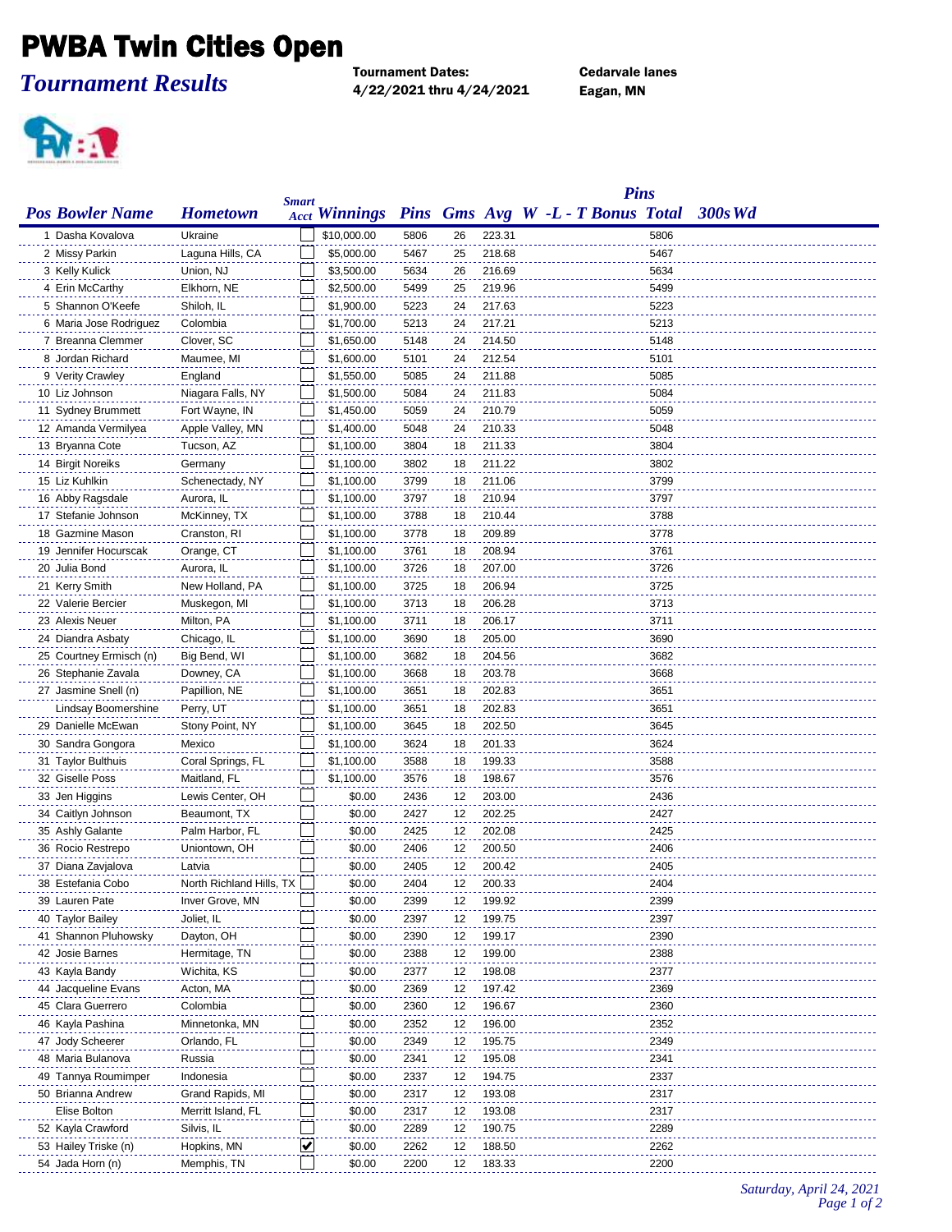## PWBA Twin Cities Open

*Tournament Results*

Tournament Dates: Cedarvale lanes 4/22/2021 thru 4/24/2021 Eagan, MN



|                         |                            |              |                      |      |          |        | <b>Pins</b>                       |      |            |
|-------------------------|----------------------------|--------------|----------------------|------|----------|--------|-----------------------------------|------|------------|
| <b>Pos Bowler Name</b>  | <b>Hometown</b>            | <b>Smart</b> | <b>Acct Winnings</b> |      |          |        | Pins Gms Avg W -L - T Bonus Total |      | $-300s$ Wd |
| 1 Dasha Kovalova        | Ukraine                    |              | \$10,000.00          | 5806 | 26       | 223.31 |                                   | 5806 |            |
| 2 Missy Parkin          | Laguna Hills, CA           |              | \$5,000.00           | 5467 | 25       | 218.68 |                                   | 5467 |            |
| 3 Kelly Kulick          | Union, NJ                  |              | \$3,500.00           | 5634 | 26       | 216.69 |                                   | 5634 |            |
| 4 Erin McCarthy         | Elkhorn, NE                |              | \$2,500.00           | 5499 | 25       | 219.96 |                                   | 5499 |            |
| 5 Shannon O'Keefe       | Shiloh, IL                 |              | \$1,900.00           | 5223 | 24       | 217.63 |                                   | 5223 |            |
| 6 Maria Jose Rodriguez  | Colombia                   |              | \$1,700.00           | 5213 | 24       | 217.21 |                                   | 5213 |            |
| 7 Breanna Clemmer       | Clover, SC                 |              | \$1,650.00           | 5148 | 24       | 214.50 |                                   | 5148 |            |
| 8 Jordan Richard        | Maumee, MI                 |              | \$1,600.00           | 5101 | 24       | 212.54 |                                   | 5101 |            |
| 9 Verity Crawley        | England                    |              | \$1,550.00           | 5085 | 24       | 211.88 |                                   | 5085 |            |
| 10 Liz Johnson          | Niagara Falls, NY          |              | \$1,500.00           | 5084 | 24       | 211.83 |                                   | 5084 |            |
| 11 Sydney Brummett      | Fort Wayne, IN             |              | \$1,450.00           | 5059 | 24       | 210.79 |                                   | 5059 |            |
| 12 Amanda Vermilyea     | Apple Valley, MN           |              | \$1,400.00           | 5048 | 24       | 210.33 |                                   | 5048 |            |
| 13 Bryanna Cote         | Tucson, AZ                 |              | \$1,100.00           | 3804 | 18       | 211.33 |                                   | 3804 |            |
| 14 Birgit Noreiks       | Germany                    |              | \$1,100.00           | 3802 | 18       | 211.22 |                                   | 3802 |            |
| 15 Liz Kuhlkin          | Schenectady, NY            |              | \$1,100.00           | 3799 | 18       | 211.06 |                                   | 3799 |            |
| 16 Abby Ragsdale        | Aurora, IL                 |              | \$1,100.00           | 3797 | 18       | 210.94 |                                   | 3797 |            |
| 17 Stefanie Johnson     | McKinney, TX               |              | \$1,100.00           | 3788 | 18       | 210.44 |                                   | 3788 |            |
| 18 Gazmine Mason        | Cranston, RI               |              | \$1,100.00           | 3778 | 18       | 209.89 |                                   | 3778 |            |
| 19 Jennifer Hocurscak   | Orange, CT                 |              | \$1,100.00           | 3761 | 18       | 208.94 |                                   | 3761 |            |
| 20 Julia Bond           | Aurora, IL                 |              | \$1,100.00           | 3726 | 18       | 207.00 |                                   | 3726 |            |
| 21 Kerry Smith          | New Holland, PA            |              | \$1,100.00           | 3725 | 18       | 206.94 |                                   | 3725 |            |
| 22 Valerie Bercier      |                            |              | \$1,100.00           | 3713 | 18       | 206.28 |                                   | 3713 |            |
|                         | Muskegon, MI               |              |                      |      |          |        |                                   |      |            |
| 23 Alexis Neuer         | Milton, PA                 |              | \$1,100.00           | 3711 | 18       | 206.17 |                                   | 3711 |            |
| 24 Diandra Asbaty       | Chicago, IL                |              | \$1,100.00           | 3690 | 18       | 205.00 |                                   | 3690 |            |
| 25 Courtney Ermisch (n) | Big Bend, WI               |              | \$1,100.00           | 3682 | 18<br>18 | 204.56 |                                   | 3682 |            |
| 26 Stephanie Zavala     | Downey, CA                 |              | \$1,100.00           | 3668 |          | 203.78 |                                   | 3668 |            |
| 27 Jasmine Snell (n)    | Papillion, NE              |              | \$1,100.00           | 3651 | 18       | 202.83 |                                   | 3651 |            |
| Lindsay Boomershine     | Perry, UT                  |              | \$1,100.00           | 3651 | 18       | 202.83 |                                   | 3651 |            |
| 29 Danielle McEwan      | Stony Point, NY            |              | \$1,100.00           | 3645 | 18       | 202.50 |                                   | 3645 |            |
| 30 Sandra Gongora       | Mexico                     |              | \$1,100.00           | 3624 | 18       | 201.33 |                                   | 3624 |            |
| 31 Taylor Bulthuis      | Coral Springs, FL          |              | \$1,100.00           | 3588 | 18       | 199.33 |                                   | 3588 |            |
| 32 Giselle Poss         | Maitland, FL               |              | \$1,100.00           | 3576 | 18       | 198.67 |                                   | 3576 |            |
| 33 Jen Higgins          | Lewis Center, OH           |              | \$0.00               | 2436 | 12       | 203.00 |                                   | 2436 |            |
| 34 Caitlyn Johnson      | Beaumont, TX               |              | \$0.00               | 2427 | 12       | 202.25 |                                   | 2427 |            |
| 35 Ashly Galante        | Palm Harbor, FL            |              | \$0.00               | 2425 | 12       | 202.08 |                                   | 2425 |            |
| 36 Rocio Restrepo       | Uniontown, OH              |              | \$0.00               | 2406 | 12       | 200.50 |                                   | 2406 |            |
| 37 Diana Zavjalova      | Latvia                     |              | \$0.00               | 2405 | 12       | 200.42 |                                   | 2405 |            |
| 38 Estefania Cobo       | North Richland Hills, TX [ |              | \$0.00               | 2404 | 12       | 200.33 |                                   | 2404 |            |
| 39 Lauren Pate          | Inver Grove, MN            |              | \$0.00               | 2399 | 12       | 199.92 |                                   | 2399 |            |
| 40 Taylor Bailey        | Joliet, IL                 |              | \$0.00               | 2397 | 12       | 199.75 |                                   | 2397 |            |
| 41 Shannon Pluhowsky    | Dayton, OH                 |              | \$0.00               | 2390 | 12       | 199.17 |                                   | 2390 |            |
| 42 Josie Barnes         | Hermitage, TN              |              | \$0.00               | 2388 | 12       | 199.00 |                                   | 2388 |            |
| 43 Kayla Bandy          | Wichita, KS                |              | \$0.00               | 2377 | 12       | 198.08 |                                   | 2377 |            |
| 44 Jacqueline Evans     | Acton, MA                  |              | \$0.00               | 2369 | 12       | 197.42 |                                   | 2369 |            |
| 45 Clara Guerrero       | Colombia                   |              | \$0.00               | 2360 | 12       | 196.67 |                                   | 2360 |            |
| 46 Kayla Pashina        | Minnetonka, MN             |              | \$0.00               | 2352 | 12       | 196.00 |                                   | 2352 |            |
| 47 Jody Scheerer        | Orlando, FL                |              | \$0.00               | 2349 | 12       | 195.75 |                                   | 2349 |            |
| 48 Maria Bulanova       | Russia                     |              | \$0.00               | 2341 | 12       | 195.08 |                                   | 2341 |            |
| 49 Tannya Roumimper     | Indonesia                  |              | \$0.00               | 2337 | 12       | 194.75 |                                   | 2337 |            |
| 50 Brianna Andrew       | Grand Rapids, MI           |              | \$0.00               | 2317 | 12       | 193.08 |                                   | 2317 |            |
| Elise Bolton            | Merritt Island, FL         |              | \$0.00               | 2317 | 12       | 193.08 |                                   | 2317 |            |
| 52 Kayla Crawford       | Silvis, IL                 |              | \$0.00               | 2289 | 12       | 190.75 |                                   | 2289 |            |
| 53 Hailey Triske (n)    | Hopkins, MN                | ⊻            | \$0.00               | 2262 | 12       | 188.50 |                                   | 2262 |            |
| 54 Jada Horn (n)        | Memphis, TN                |              | \$0.00               | 2200 | 12       | 183.33 |                                   | 2200 |            |

*Saturday, April 24, 2021 Page 1 of 2*